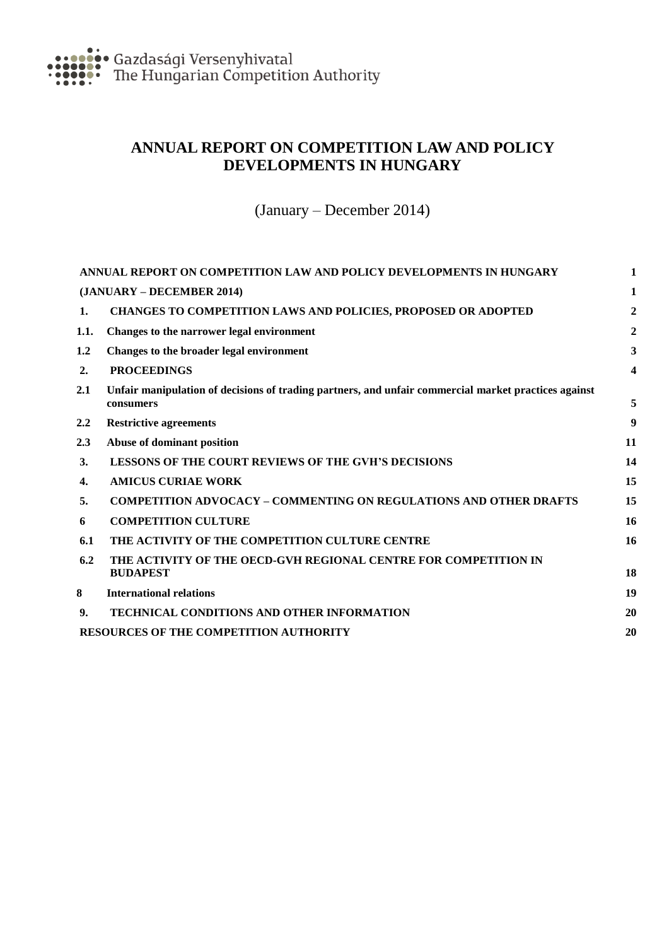<span id="page-0-0"></span>

# **ANNUAL REPORT ON COMPETITION LAW AND POLICY DEVELOPMENTS IN HUNGARY**

(January – December 2014)

<span id="page-0-1"></span>

|         | ANNUAL REPORT ON COMPETITION LAW AND POLICY DEVELOPMENTS IN HUNGARY                                               |    |  |
|---------|-------------------------------------------------------------------------------------------------------------------|----|--|
|         | (JANUARY – DECEMBER 2014)                                                                                         | 1  |  |
| 1.      | CHANGES TO COMPETITION LAWS AND POLICIES, PROPOSED OR ADOPTED                                                     | 2  |  |
| 1.1.    | Changes to the narrower legal environment                                                                         | 2  |  |
| 1.2     | Changes to the broader legal environment                                                                          | 3  |  |
| 2.      | <b>PROCEEDINGS</b>                                                                                                | 4  |  |
| 2.1     | Unfair manipulation of decisions of trading partners, and unfair commercial market practices against<br>consumers | 5  |  |
| $2.2\,$ | <b>Restrictive agreements</b>                                                                                     | 9  |  |
| 2.3     | Abuse of dominant position                                                                                        | 11 |  |
| 3.      | <b>LESSONS OF THE COURT REVIEWS OF THE GVH'S DECISIONS</b>                                                        | 14 |  |
| 4.      | <b>AMICUS CURIAE WORK</b>                                                                                         | 15 |  |
| 5.      | <b>COMPETITION ADVOCACY - COMMENTING ON REGULATIONS AND OTHER DRAFTS</b>                                          | 15 |  |
| 6       | <b>COMPETITION CULTURE</b>                                                                                        | 16 |  |
| 6.1     | THE ACTIVITY OF THE COMPETITION CULTURE CENTRE                                                                    | 16 |  |
| 6.2     | THE ACTIVITY OF THE OECD-GVH REGIONAL CENTRE FOR COMPETITION IN<br><b>BUDAPEST</b>                                | 18 |  |
| 8       | <b>International relations</b>                                                                                    | 19 |  |
| 9.      | <b>TECHNICAL CONDITIONS AND OTHER INFORMATION</b>                                                                 | 20 |  |
|         | RESOURCES OF THE COMPETITION AUTHORITY                                                                            |    |  |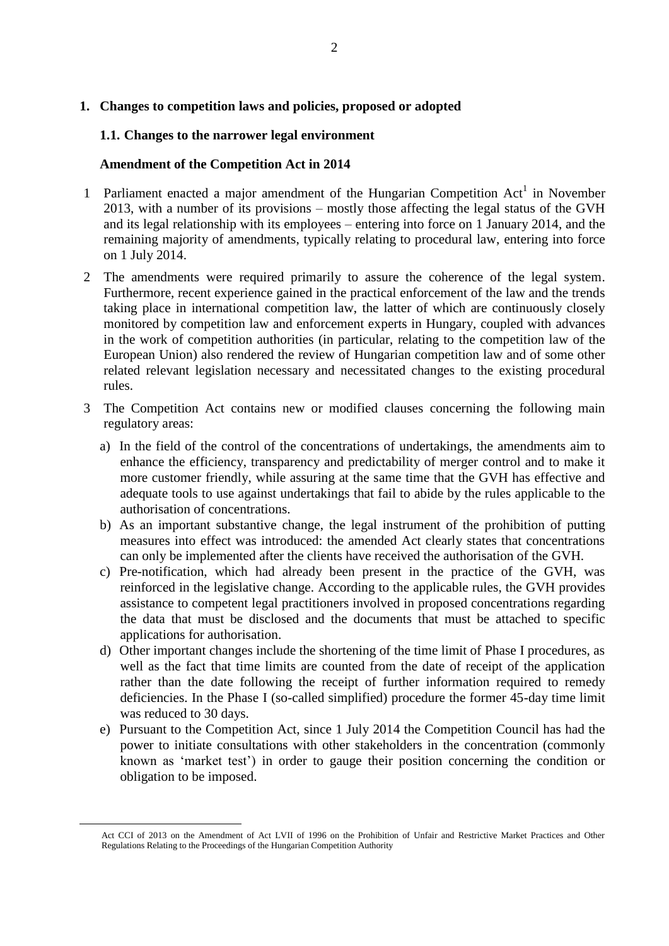# <span id="page-1-1"></span><span id="page-1-0"></span>**1.1. Changes to the narrower legal environment**

# **Amendment of the Competition Act in 2014**

- 1 Parliament enacted a major amendment of the Hungarian Competition  $Act<sup>1</sup>$  in November 2013, with a number of its provisions – mostly those affecting the legal status of the GVH and its legal relationship with its employees – entering into force on 1 January 2014, and the remaining majority of amendments, typically relating to procedural law, entering into force on 1 July 2014.
- 2 The amendments were required primarily to assure the coherence of the legal system. Furthermore, recent experience gained in the practical enforcement of the law and the trends taking place in international competition law, the latter of which are continuously closely monitored by competition law and enforcement experts in Hungary, coupled with advances in the work of competition authorities (in particular, relating to the competition law of the European Union) also rendered the review of Hungarian competition law and of some other related relevant legislation necessary and necessitated changes to the existing procedural rules.
- 3 The Competition Act contains new or modified clauses concerning the following main regulatory areas:
	- a) In the field of the control of the concentrations of undertakings, the amendments aim to enhance the efficiency, transparency and predictability of merger control and to make it more customer friendly, while assuring at the same time that the GVH has effective and adequate tools to use against undertakings that fail to abide by the rules applicable to the authorisation of concentrations.
	- b) As an important substantive change, the legal instrument of the prohibition of putting measures into effect was introduced: the amended Act clearly states that concentrations can only be implemented after the clients have received the authorisation of the GVH.
	- c) Pre-notification, which had already been present in the practice of the GVH, was reinforced in the legislative change. According to the applicable rules, the GVH provides assistance to competent legal practitioners involved in proposed concentrations regarding the data that must be disclosed and the documents that must be attached to specific applications for authorisation.
	- d) Other important changes include the shortening of the time limit of Phase I procedures, as well as the fact that time limits are counted from the date of receipt of the application rather than the date following the receipt of further information required to remedy deficiencies. In the Phase I (so-called simplified) procedure the former 45-day time limit was reduced to 30 days.
	- e) Pursuant to the Competition Act, since 1 July 2014 the Competition Council has had the power to initiate consultations with other stakeholders in the concentration (commonly known as 'market test') in order to gauge their position concerning the condition or obligation to be imposed.

 $\overline{a}$ 

Act CCI of 2013 on the Amendment of Act LVII of 1996 on the Prohibition of Unfair and Restrictive Market Practices and Other Regulations Relating to the Proceedings of the Hungarian Competition Authority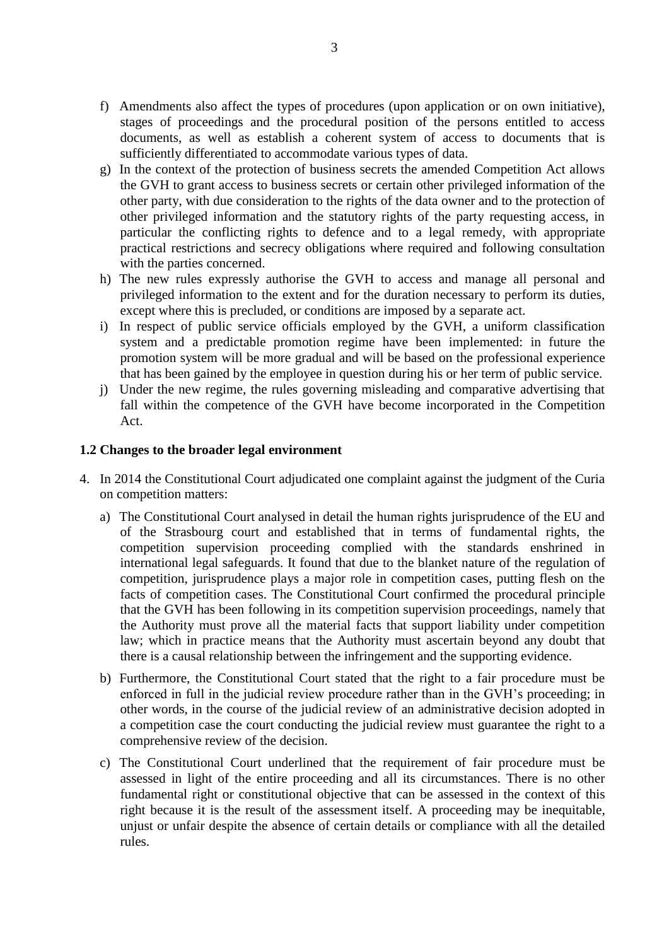- f) Amendments also affect the types of procedures (upon application or on own initiative), stages of proceedings and the procedural position of the persons entitled to access documents, as well as establish a coherent system of access to documents that is sufficiently differentiated to accommodate various types of data.
- g) In the context of the protection of business secrets the amended Competition Act allows the GVH to grant access to business secrets or certain other privileged information of the other party, with due consideration to the rights of the data owner and to the protection of other privileged information and the statutory rights of the party requesting access, in particular the conflicting rights to defence and to a legal remedy, with appropriate practical restrictions and secrecy obligations where required and following consultation with the parties concerned.
- h) The new rules expressly authorise the GVH to access and manage all personal and privileged information to the extent and for the duration necessary to perform its duties, except where this is precluded, or conditions are imposed by a separate act.
- i) In respect of public service officials employed by the GVH, a uniform classification system and a predictable promotion regime have been implemented: in future the promotion system will be more gradual and will be based on the professional experience that has been gained by the employee in question during his or her term of public service.
- j) Under the new regime, the rules governing misleading and comparative advertising that fall within the competence of the GVH have become incorporated in the Competition Act.

## <span id="page-2-0"></span>**1.2 Changes to the broader legal environment**

- 4. In 2014 the Constitutional Court adjudicated one complaint against the judgment of the Curia on competition matters:
	- a) The Constitutional Court analysed in detail the human rights jurisprudence of the EU and of the Strasbourg court and established that in terms of fundamental rights, the competition supervision proceeding complied with the standards enshrined in international legal safeguards. It found that due to the blanket nature of the regulation of competition, jurisprudence plays a major role in competition cases, putting flesh on the facts of competition cases. The Constitutional Court confirmed the procedural principle that the GVH has been following in its competition supervision proceedings, namely that the Authority must prove all the material facts that support liability under competition law; which in practice means that the Authority must ascertain beyond any doubt that there is a causal relationship between the infringement and the supporting evidence.
	- b) Furthermore, the Constitutional Court stated that the right to a fair procedure must be enforced in full in the judicial review procedure rather than in the GVH's proceeding; in other words, in the course of the judicial review of an administrative decision adopted in a competition case the court conducting the judicial review must guarantee the right to a comprehensive review of the decision.
	- c) The Constitutional Court underlined that the requirement of fair procedure must be assessed in light of the entire proceeding and all its circumstances. There is no other fundamental right or constitutional objective that can be assessed in the context of this right because it is the result of the assessment itself. A proceeding may be inequitable, unjust or unfair despite the absence of certain details or compliance with all the detailed rules.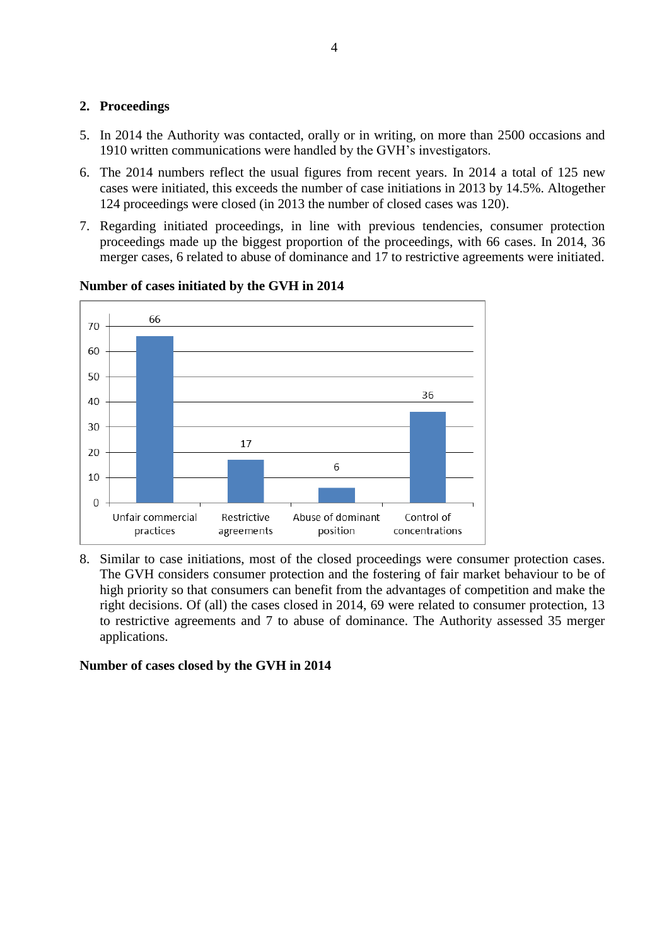# <span id="page-3-0"></span>**2. Proceedings**

- 5. In 2014 the Authority was contacted, orally or in writing, on more than 2500 occasions and 1910 written communications were handled by the GVH's investigators.
- 6. The 2014 numbers reflect the usual figures from recent years. In 2014 a total of 125 new cases were initiated, this exceeds the number of case initiations in 2013 by 14.5%. Altogether 124 proceedings were closed (in 2013 the number of closed cases was 120).
- 7. Regarding initiated proceedings, in line with previous tendencies, consumer protection proceedings made up the biggest proportion of the proceedings, with 66 cases. In 2014, 36 merger cases, 6 related to abuse of dominance and 17 to restrictive agreements were initiated.



# **Number of cases initiated by the GVH in 2014**

8. Similar to case initiations, most of the closed proceedings were consumer protection cases. The GVH considers consumer protection and the fostering of fair market behaviour to be of high priority so that consumers can benefit from the advantages of competition and make the right decisions. Of (all) the cases closed in 2014, 69 were related to consumer protection, 13 to restrictive agreements and 7 to abuse of dominance. The Authority assessed 35 merger applications.

# **Number of cases closed by the GVH in 2014**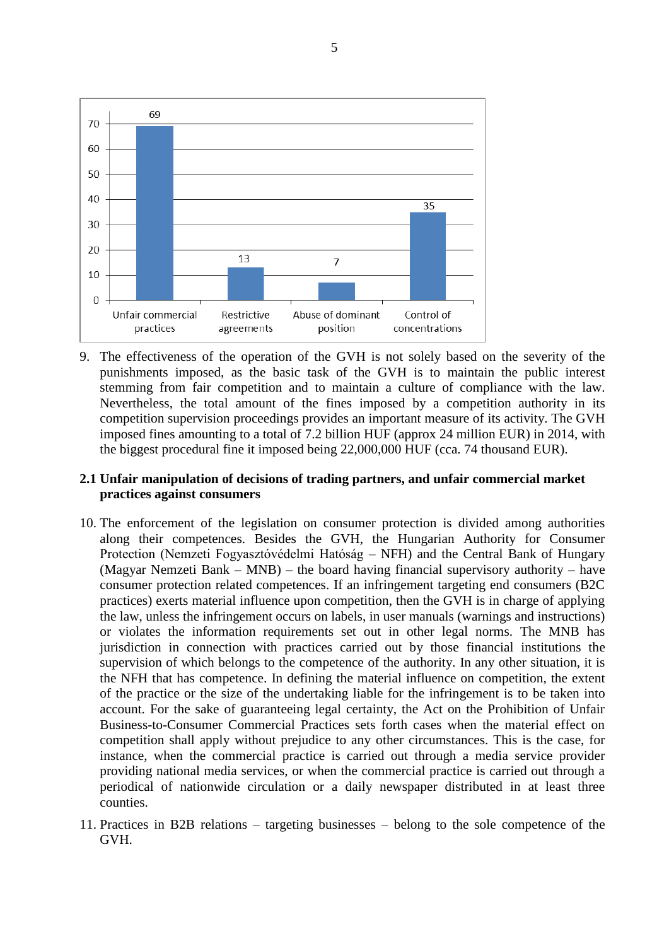

9. The effectiveness of the operation of the GVH is not solely based on the severity of the punishments imposed, as the basic task of the GVH is to maintain the public interest stemming from fair competition and to maintain a culture of compliance with the law. Nevertheless, the total amount of the fines imposed by a competition authority in its competition supervision proceedings provides an important measure of its activity. The GVH imposed fines amounting to a total of 7.2 billion HUF (approx 24 million EUR) in 2014, with the biggest procedural fine it imposed being 22,000,000 HUF (cca. 74 thousand EUR).

## <span id="page-4-0"></span>**2.1 Unfair manipulation of decisions of trading partners, and unfair commercial market practices against consumers**

- 10. The enforcement of the legislation on consumer protection is divided among authorities along their competences. Besides the GVH, the Hungarian Authority for Consumer Protection (Nemzeti Fogyasztóvédelmi Hatóság – NFH) and the Central Bank of Hungary (Magyar Nemzeti Bank – MNB) – the board having financial supervisory authority – have consumer protection related competences. If an infringement targeting end consumers (B2C practices) exerts material influence upon competition, then the GVH is in charge of applying the law, unless the infringement occurs on labels, in user manuals (warnings and instructions) or violates the information requirements set out in other legal norms. The MNB has jurisdiction in connection with practices carried out by those financial institutions the supervision of which belongs to the competence of the authority. In any other situation, it is the NFH that has competence. In defining the material influence on competition, the extent of the practice or the size of the undertaking liable for the infringement is to be taken into account. For the sake of guaranteeing legal certainty, the Act on the Prohibition of Unfair Business-to-Consumer Commercial Practices sets forth cases when the material effect on competition shall apply without prejudice to any other circumstances. This is the case, for instance, when the commercial practice is carried out through a media service provider providing national media services, or when the commercial practice is carried out through a periodical of nationwide circulation or a daily newspaper distributed in at least three counties.
- 11. Practices in B2B relations targeting businesses belong to the sole competence of the GVH.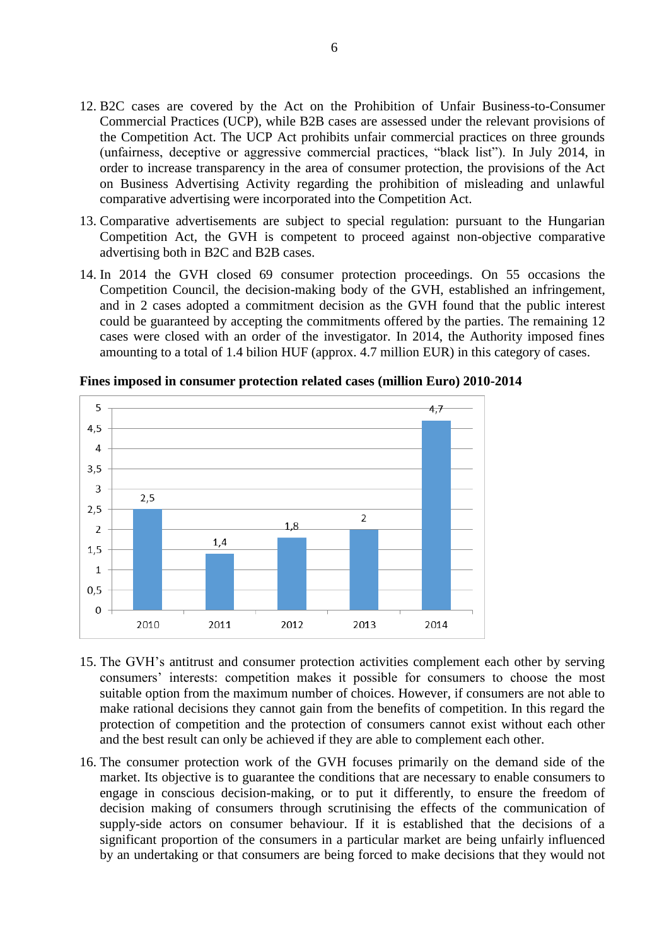- 12. B2C cases are covered by the Act on the Prohibition of Unfair Business-to-Consumer Commercial Practices (UCP), while B2B cases are assessed under the relevant provisions of the Competition Act. The UCP Act prohibits unfair commercial practices on three grounds (unfairness, deceptive or aggressive commercial practices, "black list"). In July 2014, in order to increase transparency in the area of consumer protection, the provisions of the Act on Business Advertising Activity regarding the prohibition of misleading and unlawful comparative advertising were incorporated into the Competition Act.
- 13. Comparative advertisements are subject to special regulation: pursuant to the Hungarian Competition Act, the GVH is competent to proceed against non-objective comparative advertising both in B2C and B2B cases.
- 14. In 2014 the GVH closed 69 consumer protection proceedings. On 55 occasions the Competition Council, the decision-making body of the GVH, established an infringement, and in 2 cases adopted a commitment decision as the GVH found that the public interest could be guaranteed by accepting the commitments offered by the parties. The remaining 12 cases were closed with an order of the investigator. In 2014, the Authority imposed fines amounting to a total of 1.4 bilion HUF (approx. 4.7 million EUR) in this category of cases.



**Fines imposed in consumer protection related cases (million Euro) 2010-2014**

- 15. The GVH's antitrust and consumer protection activities complement each other by serving consumers' interests: competition makes it possible for consumers to choose the most suitable option from the maximum number of choices. However, if consumers are not able to make rational decisions they cannot gain from the benefits of competition. In this regard the protection of competition and the protection of consumers cannot exist without each other and the best result can only be achieved if they are able to complement each other.
- 16. The consumer protection work of the GVH focuses primarily on the demand side of the market. Its objective is to guarantee the conditions that are necessary to enable consumers to engage in conscious decision-making, or to put it differently, to ensure the freedom of decision making of consumers through scrutinising the effects of the communication of supply-side actors on consumer behaviour. If it is established that the decisions of a significant proportion of the consumers in a particular market are being unfairly influenced by an undertaking or that consumers are being forced to make decisions that they would not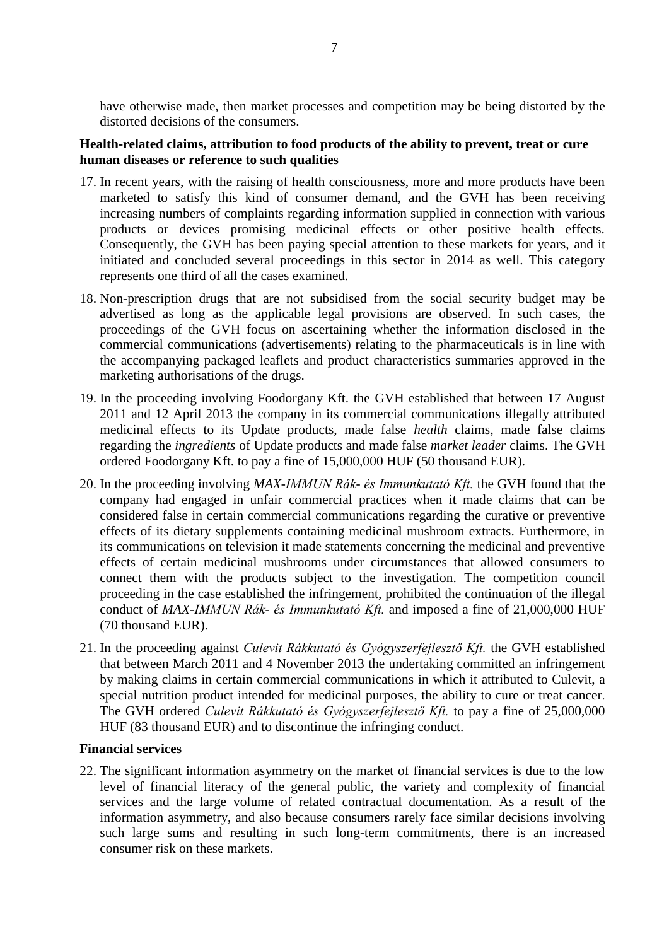have otherwise made, then market processes and competition may be being distorted by the distorted decisions of the consumers.

# **Health-related claims, attribution to food products of the ability to prevent, treat or cure human diseases or reference to such qualities**

- 17. In recent years, with the raising of health consciousness, more and more products have been marketed to satisfy this kind of consumer demand, and the GVH has been receiving increasing numbers of complaints regarding information supplied in connection with various products or devices promising medicinal effects or other positive health effects. Consequently, the GVH has been paying special attention to these markets for years, and it initiated and concluded several proceedings in this sector in 2014 as well. This category represents one third of all the cases examined.
- 18. Non-prescription drugs that are not subsidised from the social security budget may be advertised as long as the applicable legal provisions are observed. In such cases, the proceedings of the GVH focus on ascertaining whether the information disclosed in the commercial communications (advertisements) relating to the pharmaceuticals is in line with the accompanying packaged leaflets and product characteristics summaries approved in the marketing authorisations of the drugs.
- 19. In the proceeding involving Foodorgany Kft. the GVH established that between 17 August 2011 and 12 April 2013 the company in its commercial communications illegally attributed medicinal effects to its Update products, made false *health* claims, made false claims regarding the *ingredients* of Update products and made false *market leader* claims. The GVH ordered Foodorgany Kft. to pay a fine of 15,000,000 HUF (50 thousand EUR).
- 20. In the proceeding involving *MAX-IMMUN Rák- és Immunkutató Kft.* the GVH found that the company had engaged in unfair commercial practices when it made claims that can be considered false in certain commercial communications regarding the curative or preventive effects of its dietary supplements containing medicinal mushroom extracts. Furthermore, in its communications on television it made statements concerning the medicinal and preventive effects of certain medicinal mushrooms under circumstances that allowed consumers to connect them with the products subject to the investigation. The competition council proceeding in the case established the infringement, prohibited the continuation of the illegal conduct of *MAX-IMMUN Rák- és Immunkutató Kft.* and imposed a fine of 21,000,000 HUF (70 thousand EUR).
- 21. In the proceeding against *Culevit Rákkutató és Gyógyszerfejlesztő Kft.* the GVH established that between March 2011 and 4 November 2013 the undertaking committed an infringement by making claims in certain commercial communications in which it attributed to Culevit, a special nutrition product intended for medicinal purposes, the ability to cure or treat cancer. The GVH ordered *Culevit Rákkutató és Gyógyszerfejlesztő Kft.* to pay a fine of 25,000,000 HUF (83 thousand EUR) and to discontinue the infringing conduct.

## **Financial services**

22. The significant information asymmetry on the market of financial services is due to the low level of financial literacy of the general public, the variety and complexity of financial services and the large volume of related contractual documentation. As a result of the information asymmetry, and also because consumers rarely face similar decisions involving such large sums and resulting in such long-term commitments, there is an increased consumer risk on these markets.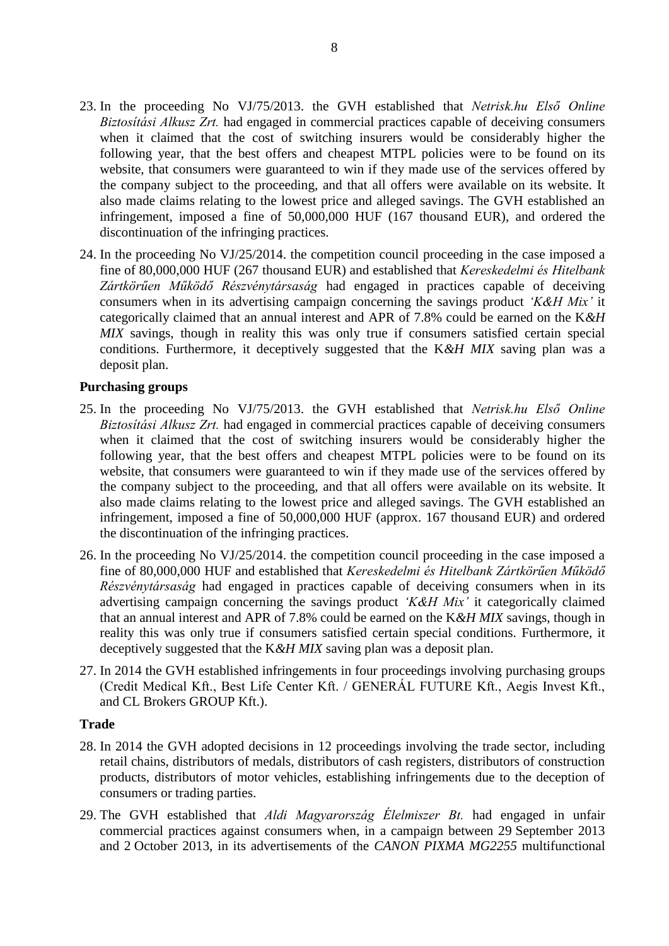- 23. In the proceeding No VJ/75/2013. the GVH established that *Netrisk.hu Első Online Biztosítási Alkusz Zrt.* had engaged in commercial practices capable of deceiving consumers when it claimed that the cost of switching insurers would be considerably higher the following year, that the best offers and cheapest MTPL policies were to be found on its website, that consumers were guaranteed to win if they made use of the services offered by the company subject to the proceeding, and that all offers were available on its website. It also made claims relating to the lowest price and alleged savings. The GVH established an infringement, imposed a fine of 50,000,000 HUF (167 thousand EUR), and ordered the discontinuation of the infringing practices.
- 24. In the proceeding No VJ/25/2014. the competition council proceeding in the case imposed a fine of 80,000,000 HUF (267 thousand EUR) and established that *Kereskedelmi és Hitelbank Zártkörűen Működő Részvénytársaság* had engaged in practices capable of deceiving consumers when in its advertising campaign concerning the savings product *'K&H Mix'* it categorically claimed that an annual interest and APR of 7.8% could be earned on the K*&H MIX* savings, though in reality this was only true if consumers satisfied certain special conditions. Furthermore, it deceptively suggested that the K*&H MIX* saving plan was a deposit plan.

#### **Purchasing groups**

- 25. In the proceeding No VJ/75/2013. the GVH established that *Netrisk.hu Első Online Biztosítási Alkusz Zrt.* had engaged in commercial practices capable of deceiving consumers when it claimed that the cost of switching insurers would be considerably higher the following year, that the best offers and cheapest MTPL policies were to be found on its website, that consumers were guaranteed to win if they made use of the services offered by the company subject to the proceeding, and that all offers were available on its website. It also made claims relating to the lowest price and alleged savings. The GVH established an infringement, imposed a fine of 50,000,000 HUF (approx. 167 thousand EUR) and ordered the discontinuation of the infringing practices.
- 26. In the proceeding No VJ/25/2014. the competition council proceeding in the case imposed a fine of 80,000,000 HUF and established that *Kereskedelmi és Hitelbank Zártkörűen Működő Részvénytársaság* had engaged in practices capable of deceiving consumers when in its advertising campaign concerning the savings product *'K&H Mix'* it categorically claimed that an annual interest and APR of 7.8% could be earned on the K*&H MIX* savings, though in reality this was only true if consumers satisfied certain special conditions. Furthermore, it deceptively suggested that the K*&H MIX* saving plan was a deposit plan.
- 27. In 2014 the GVH established infringements in four proceedings involving purchasing groups (Credit Medical Kft., Best Life Center Kft. / GENERÁL FUTURE Kft., Aegis Invest Kft., and CL Brokers GROUP Kft.).

#### **Trade**

- 28. In 2014 the GVH adopted decisions in 12 proceedings involving the trade sector, including retail chains, distributors of medals, distributors of cash registers, distributors of construction products, distributors of motor vehicles, establishing infringements due to the deception of consumers or trading parties.
- 29. The GVH established that *Aldi Magyarország Élelmiszer Bt.* had engaged in unfair commercial practices against consumers when, in a campaign between 29 September 2013 and 2 October 2013, in its advertisements of the *CANON PIXMA MG2255* multifunctional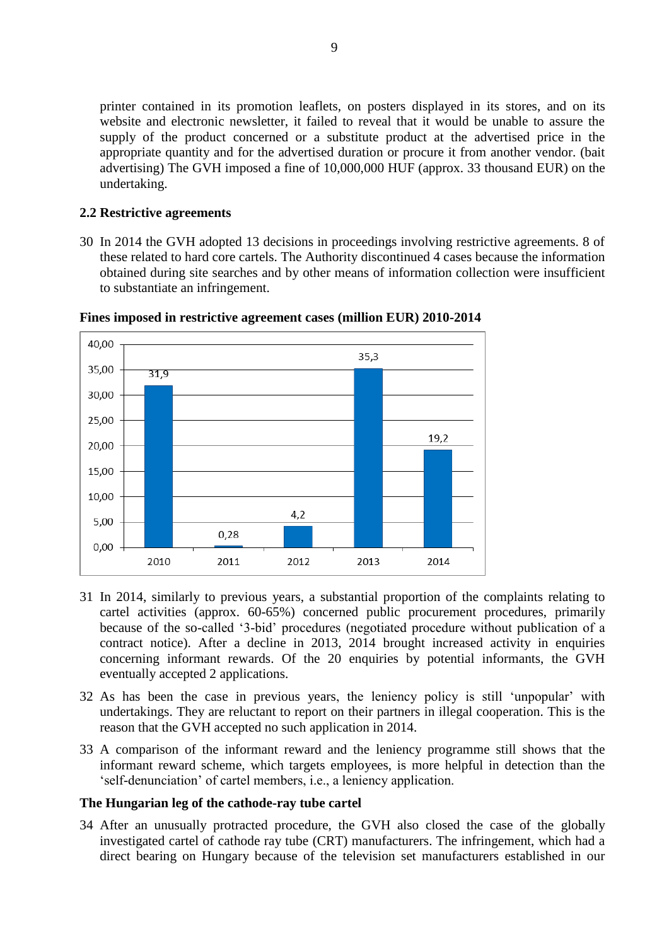printer contained in its promotion leaflets, on posters displayed in its stores, and on its website and electronic newsletter, it failed to reveal that it would be unable to assure the supply of the product concerned or a substitute product at the advertised price in the appropriate quantity and for the advertised duration or procure it from another vendor. (bait advertising) The GVH imposed a fine of 10,000,000 HUF (approx. 33 thousand EUR) on the undertaking.

#### <span id="page-8-0"></span>**2.2 Restrictive agreements**

30 In 2014 the GVH adopted 13 decisions in proceedings involving restrictive agreements. 8 of these related to hard core cartels. The Authority discontinued 4 cases because the information obtained during site searches and by other means of information collection were insufficient to substantiate an infringement.



**Fines imposed in restrictive agreement cases (million EUR) 2010-2014**

- 31 In 2014, similarly to previous years, a substantial proportion of the complaints relating to cartel activities (approx. 60-65%) concerned public procurement procedures, primarily because of the so-called '3-bid' procedures (negotiated procedure without publication of a contract notice). After a decline in 2013, 2014 brought increased activity in enquiries concerning informant rewards. Of the 20 enquiries by potential informants, the GVH eventually accepted 2 applications.
- 32 As has been the case in previous years, the leniency policy is still 'unpopular' with undertakings. They are reluctant to report on their partners in illegal cooperation. This is the reason that the GVH accepted no such application in 2014.
- 33 A comparison of the informant reward and the leniency programme still shows that the informant reward scheme, which targets employees, is more helpful in detection than the 'self-denunciation' of cartel members, i.e., a leniency application.

#### **The Hungarian leg of the cathode-ray tube cartel**

34 After an unusually protracted procedure, the GVH also closed the case of the globally investigated cartel of cathode ray tube (CRT) manufacturers. The infringement, which had a direct bearing on Hungary because of the television set manufacturers established in our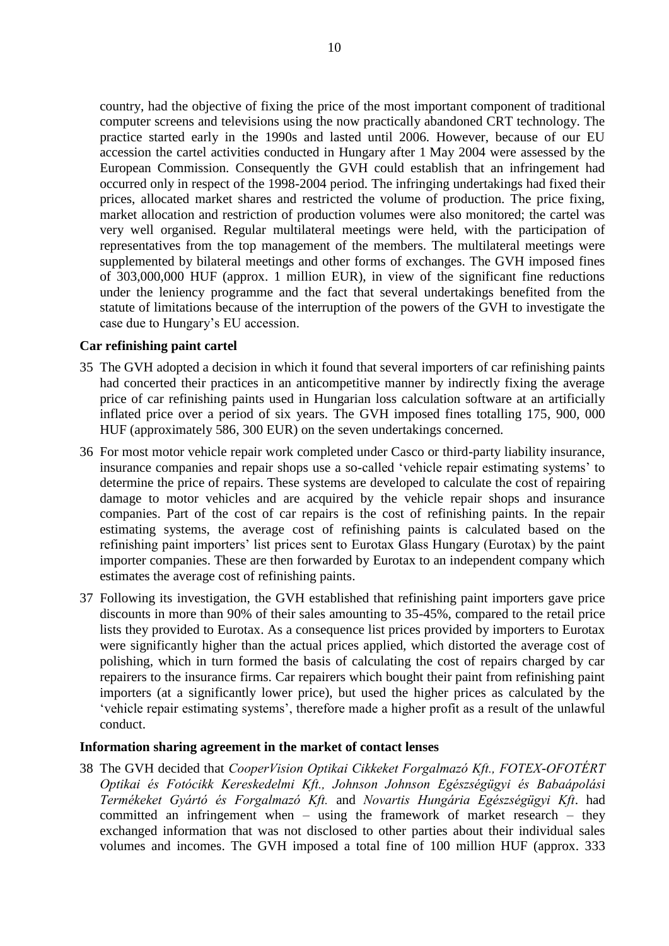country, had the objective of fixing the price of the most important component of traditional computer screens and televisions using the now practically abandoned CRT technology. The practice started early in the 1990s and lasted until 2006. However, because of our EU accession the cartel activities conducted in Hungary after 1 May 2004 were assessed by the European Commission. Consequently the GVH could establish that an infringement had occurred only in respect of the 1998-2004 period. The infringing undertakings had fixed their prices, allocated market shares and restricted the volume of production. The price fixing, market allocation and restriction of production volumes were also monitored; the cartel was very well organised. Regular multilateral meetings were held, with the participation of representatives from the top management of the members. The multilateral meetings were supplemented by bilateral meetings and other forms of exchanges. The GVH imposed fines of 303,000,000 HUF (approx. 1 million EUR), in view of the significant fine reductions under the leniency programme and the fact that several undertakings benefited from the statute of limitations because of the interruption of the powers of the GVH to investigate the case due to Hungary's EU accession.

## **Car refinishing paint cartel**

- 35 The GVH adopted a decision in which it found that several importers of car refinishing paints had concerted their practices in an anticompetitive manner by indirectly fixing the average price of car refinishing paints used in Hungarian loss calculation software at an artificially inflated price over a period of six years. The GVH imposed fines totalling 175, 900, 000 HUF (approximately 586, 300 EUR) on the seven undertakings concerned.
- 36 For most motor vehicle repair work completed under Casco or third-party liability insurance, insurance companies and repair shops use a so-called 'vehicle repair estimating systems' to determine the price of repairs. These systems are developed to calculate the cost of repairing damage to motor vehicles and are acquired by the vehicle repair shops and insurance companies. Part of the cost of car repairs is the cost of refinishing paints. In the repair estimating systems, the average cost of refinishing paints is calculated based on the refinishing paint importers' list prices sent to Eurotax Glass Hungary (Eurotax) by the paint importer companies. These are then forwarded by Eurotax to an independent company which estimates the average cost of refinishing paints.
- 37 Following its investigation, the GVH established that refinishing paint importers gave price discounts in more than 90% of their sales amounting to 35-45%, compared to the retail price lists they provided to Eurotax. As a consequence list prices provided by importers to Eurotax were significantly higher than the actual prices applied, which distorted the average cost of polishing, which in turn formed the basis of calculating the cost of repairs charged by car repairers to the insurance firms. Car repairers which bought their paint from refinishing paint importers (at a significantly lower price), but used the higher prices as calculated by the 'vehicle repair estimating systems', therefore made a higher profit as a result of the unlawful conduct.

#### **Information sharing agreement in the market of contact lenses**

38 The GVH decided that *CooperVision Optikai Cikkeket Forgalmazó Kft., FOTEX-OFOTÉRT Optikai és Fotócikk Kereskedelmi Kft., Johnson Johnson Egészségügyi és Babaápolási Termékeket Gyártó és Forgalmazó Kft.* and *Novartis Hungária Egészségügyi Kft*. had committed an infringement when – using the framework of market research – they exchanged information that was not disclosed to other parties about their individual sales volumes and incomes. The GVH imposed a total fine of 100 million HUF (approx. 333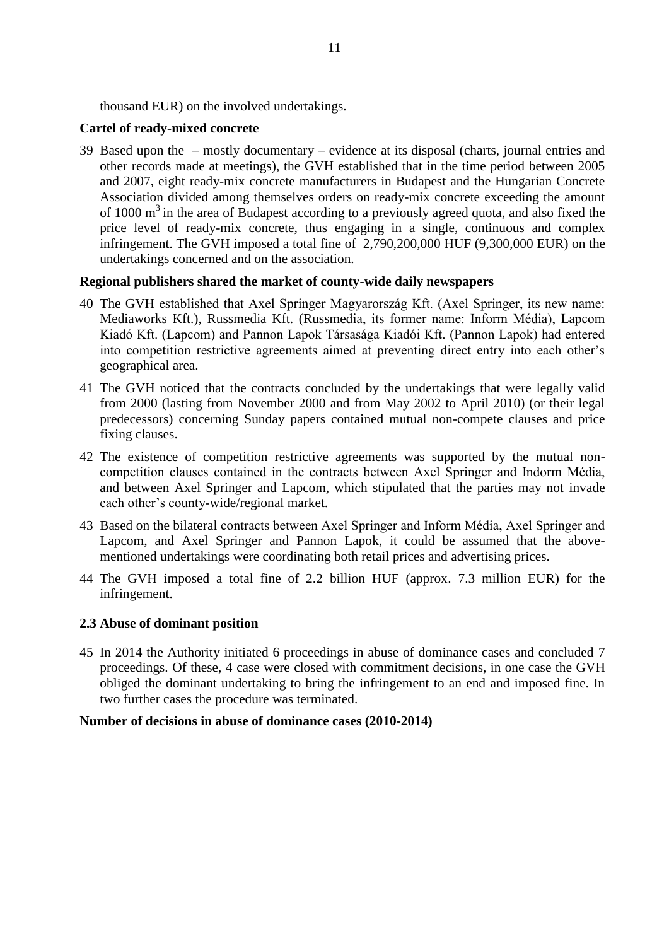thousand EUR) on the involved undertakings.

# **Cartel of ready-mixed concrete**

39 Based upon the – mostly documentary – evidence at its disposal (charts, journal entries and other records made at meetings), the GVH established that in the time period between 2005 and 2007, eight ready-mix concrete manufacturers in Budapest and the Hungarian Concrete Association divided among themselves orders on ready-mix concrete exceeding the amount of 1000  $\text{m}^3$  in the area of Budapest according to a previously agreed quota, and also fixed the price level of ready-mix concrete, thus engaging in a single, continuous and complex infringement. The GVH imposed a total fine of 2,790,200,000 HUF (9,300,000 EUR) on the undertakings concerned and on the association.

# **Regional publishers shared the market of county-wide daily newspapers**

- 40 The GVH established that Axel Springer Magyarország Kft. (Axel Springer, its new name: Mediaworks Kft.), Russmedia Kft. (Russmedia, its former name: Inform Média), Lapcom Kiadó Kft. (Lapcom) and Pannon Lapok Társasága Kiadói Kft. (Pannon Lapok) had entered into competition restrictive agreements aimed at preventing direct entry into each other's geographical area.
- 41 The GVH noticed that the contracts concluded by the undertakings that were legally valid from 2000 (lasting from November 2000 and from May 2002 to April 2010) (or their legal predecessors) concerning Sunday papers contained mutual non-compete clauses and price fixing clauses.
- 42 The existence of competition restrictive agreements was supported by the mutual noncompetition clauses contained in the contracts between Axel Springer and Indorm Média, and between Axel Springer and Lapcom, which stipulated that the parties may not invade each other's county-wide/regional market.
- 43 Based on the bilateral contracts between Axel Springer and Inform Média, Axel Springer and Lapcom, and Axel Springer and Pannon Lapok, it could be assumed that the abovementioned undertakings were coordinating both retail prices and advertising prices.
- 44 The GVH imposed a total fine of 2.2 billion HUF (approx. 7.3 million EUR) for the infringement.

## <span id="page-10-0"></span>**2.3 Abuse of dominant position**

45 In 2014 the Authority initiated 6 proceedings in abuse of dominance cases and concluded 7 proceedings. Of these, 4 case were closed with commitment decisions, in one case the GVH obliged the dominant undertaking to bring the infringement to an end and imposed fine. In two further cases the procedure was terminated.

## **Number of decisions in abuse of dominance cases (2010-2014)**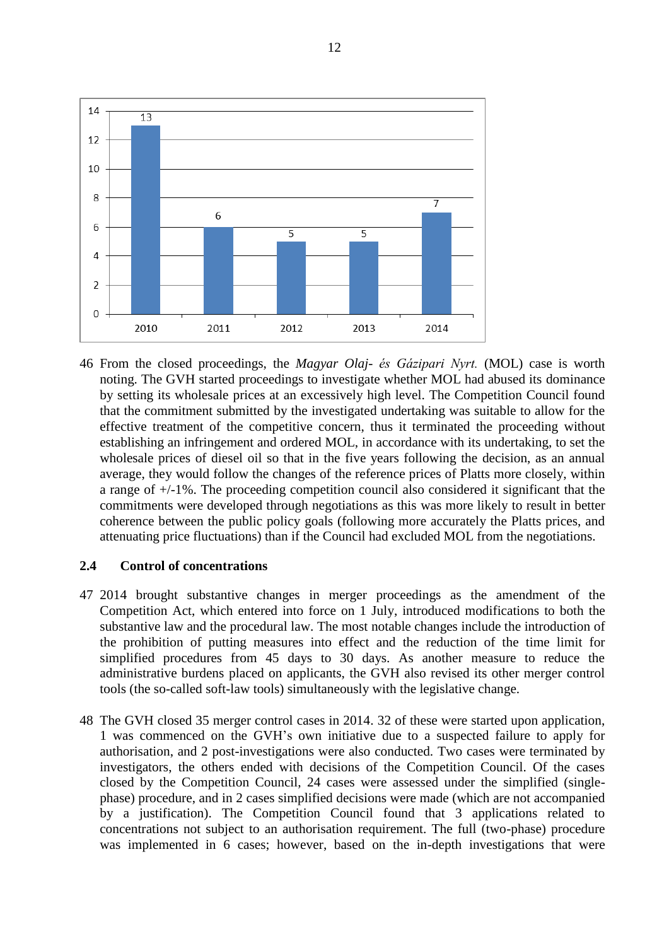

46 From the closed proceedings, the *Magyar Olaj- és Gázipari Nyrt.* (MOL) case is worth noting. The GVH started proceedings to investigate whether MOL had abused its dominance by setting its wholesale prices at an excessively high level. The Competition Council found that the commitment submitted by the investigated undertaking was suitable to allow for the effective treatment of the competitive concern, thus it terminated the proceeding without establishing an infringement and ordered MOL, in accordance with its undertaking, to set the wholesale prices of diesel oil so that in the five years following the decision, as an annual average, they would follow the changes of the reference prices of Platts more closely, within a range of +/-1%. The proceeding competition council also considered it significant that the commitments were developed through negotiations as this was more likely to result in better coherence between the public policy goals (following more accurately the Platts prices, and attenuating price fluctuations) than if the Council had excluded MOL from the negotiations.

## **2.4 Control of concentrations**

- 47 2014 brought substantive changes in merger proceedings as the amendment of the Competition Act, which entered into force on 1 July, introduced modifications to both the substantive law and the procedural law. The most notable changes include the introduction of the prohibition of putting measures into effect and the reduction of the time limit for simplified procedures from 45 days to 30 days. As another measure to reduce the administrative burdens placed on applicants, the GVH also revised its other merger control tools (the so-called soft-law tools) simultaneously with the legislative change.
- 48 The GVH closed 35 merger control cases in 2014. 32 of these were started upon application, 1 was commenced on the GVH's own initiative due to a suspected failure to apply for authorisation, and 2 post-investigations were also conducted. Two cases were terminated by investigators, the others ended with decisions of the Competition Council. Of the cases closed by the Competition Council, 24 cases were assessed under the simplified (singlephase) procedure, and in 2 cases simplified decisions were made (which are not accompanied by a justification). The Competition Council found that 3 applications related to concentrations not subject to an authorisation requirement. The full (two-phase) procedure was implemented in 6 cases; however, based on the in-depth investigations that were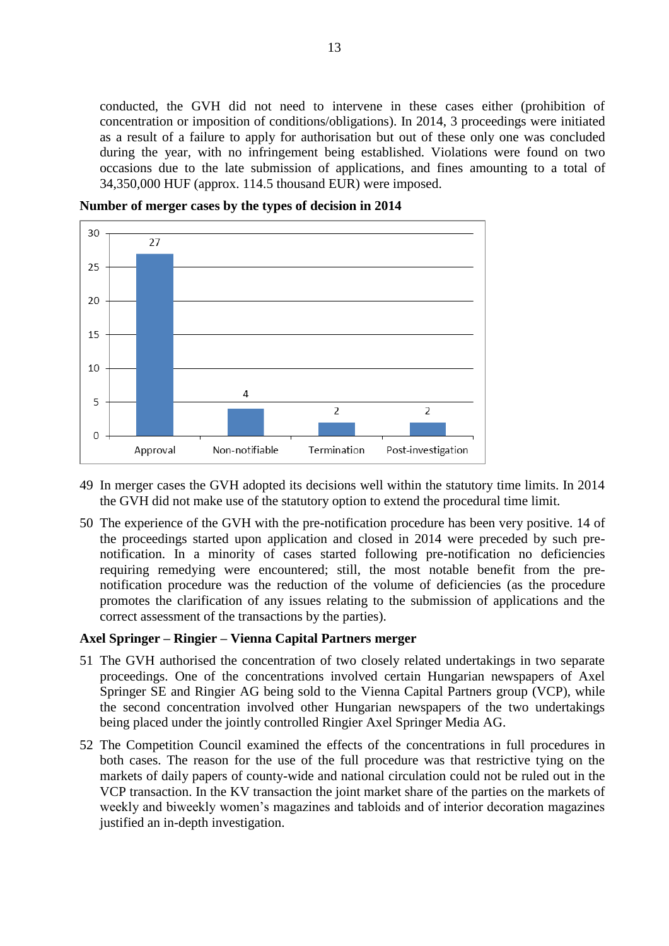conducted, the GVH did not need to intervene in these cases either (prohibition of concentration or imposition of conditions/obligations). In 2014, 3 proceedings were initiated as a result of a failure to apply for authorisation but out of these only one was concluded during the year, with no infringement being established. Violations were found on two occasions due to the late submission of applications, and fines amounting to a total of 34,350,000 HUF (approx. 114.5 thousand EUR) were imposed.

30  $27$  $25$ 20 15 10 4 5  $\overline{2}$  $\overline{2}$  $\overline{0}$ Non-notifiable Termination Post-investigation Approval

**Number of merger cases by the types of decision in 2014**

- 49 In merger cases the GVH adopted its decisions well within the statutory time limits. In 2014 the GVH did not make use of the statutory option to extend the procedural time limit.
- 50 The experience of the GVH with the pre-notification procedure has been very positive. 14 of the proceedings started upon application and closed in 2014 were preceded by such prenotification. In a minority of cases started following pre-notification no deficiencies requiring remedying were encountered; still, the most notable benefit from the prenotification procedure was the reduction of the volume of deficiencies (as the procedure promotes the clarification of any issues relating to the submission of applications and the correct assessment of the transactions by the parties).

#### **Axel Springer – Ringier – Vienna Capital Partners merger**

- 51 The GVH authorised the concentration of two closely related undertakings in two separate proceedings. One of the concentrations involved certain Hungarian newspapers of Axel Springer SE and Ringier AG being sold to the Vienna Capital Partners group (VCP), while the second concentration involved other Hungarian newspapers of the two undertakings being placed under the jointly controlled Ringier Axel Springer Media AG.
- 52 The Competition Council examined the effects of the concentrations in full procedures in both cases. The reason for the use of the full procedure was that restrictive tying on the markets of daily papers of county-wide and national circulation could not be ruled out in the VCP transaction. In the KV transaction the joint market share of the parties on the markets of weekly and biweekly women's magazines and tabloids and of interior decoration magazines justified an in-depth investigation.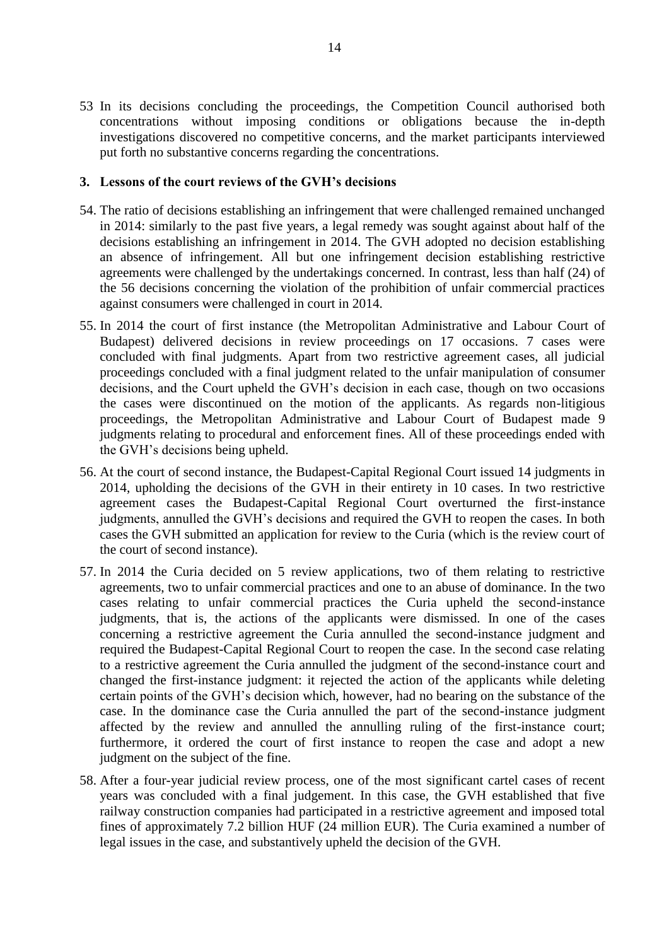53 In its decisions concluding the proceedings, the Competition Council authorised both concentrations without imposing conditions or obligations because the in-depth investigations discovered no competitive concerns, and the market participants interviewed put forth no substantive concerns regarding the concentrations.

## <span id="page-13-0"></span>**3. Lessons of the court reviews of the GVH's decisions**

- 54. The ratio of decisions establishing an infringement that were challenged remained unchanged in 2014: similarly to the past five years, a legal remedy was sought against about half of the decisions establishing an infringement in 2014. The GVH adopted no decision establishing an absence of infringement. All but one infringement decision establishing restrictive agreements were challenged by the undertakings concerned. In contrast, less than half (24) of the 56 decisions concerning the violation of the prohibition of unfair commercial practices against consumers were challenged in court in 2014.
- 55. In 2014 the court of first instance (the Metropolitan Administrative and Labour Court of Budapest) delivered decisions in review proceedings on 17 occasions. 7 cases were concluded with final judgments. Apart from two restrictive agreement cases, all judicial proceedings concluded with a final judgment related to the unfair manipulation of consumer decisions, and the Court upheld the GVH's decision in each case, though on two occasions the cases were discontinued on the motion of the applicants. As regards non-litigious proceedings, the Metropolitan Administrative and Labour Court of Budapest made 9 judgments relating to procedural and enforcement fines. All of these proceedings ended with the GVH's decisions being upheld.
- 56. At the court of second instance, the Budapest-Capital Regional Court issued 14 judgments in 2014, upholding the decisions of the GVH in their entirety in 10 cases. In two restrictive agreement cases the Budapest-Capital Regional Court overturned the first-instance judgments, annulled the GVH's decisions and required the GVH to reopen the cases. In both cases the GVH submitted an application for review to the Curia (which is the review court of the court of second instance).
- 57. In 2014 the Curia decided on 5 review applications, two of them relating to restrictive agreements, two to unfair commercial practices and one to an abuse of dominance. In the two cases relating to unfair commercial practices the Curia upheld the second-instance judgments, that is, the actions of the applicants were dismissed. In one of the cases concerning a restrictive agreement the Curia annulled the second-instance judgment and required the Budapest-Capital Regional Court to reopen the case. In the second case relating to a restrictive agreement the Curia annulled the judgment of the second-instance court and changed the first-instance judgment: it rejected the action of the applicants while deleting certain points of the GVH's decision which, however, had no bearing on the substance of the case. In the dominance case the Curia annulled the part of the second-instance judgment affected by the review and annulled the annulling ruling of the first-instance court; furthermore, it ordered the court of first instance to reopen the case and adopt a new judgment on the subject of the fine.
- 58. After a four-year judicial review process, one of the most significant cartel cases of recent years was concluded with a final judgement. In this case, the GVH established that five railway construction companies had participated in a restrictive agreement and imposed total fines of approximately 7.2 billion HUF (24 million EUR). The Curia examined a number of legal issues in the case, and substantively upheld the decision of the GVH.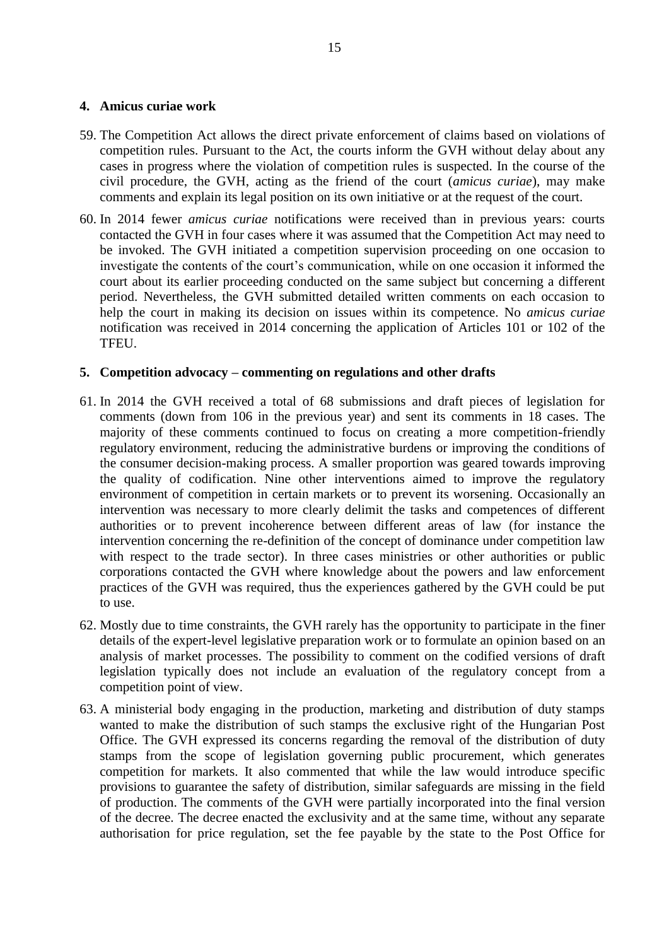#### <span id="page-14-0"></span>**4. Amicus curiae work**

- 59. The Competition Act allows the direct private enforcement of claims based on violations of competition rules. Pursuant to the Act, the courts inform the GVH without delay about any cases in progress where the violation of competition rules is suspected. In the course of the civil procedure, the GVH, acting as the friend of the court (*amicus curiae*), may make comments and explain its legal position on its own initiative or at the request of the court.
- 60. In 2014 fewer *amicus curiae* notifications were received than in previous years: courts contacted the GVH in four cases where it was assumed that the Competition Act may need to be invoked. The GVH initiated a competition supervision proceeding on one occasion to investigate the contents of the court's communication, while on one occasion it informed the court about its earlier proceeding conducted on the same subject but concerning a different period. Nevertheless, the GVH submitted detailed written comments on each occasion to help the court in making its decision on issues within its competence. No *amicus curiae*  notification was received in 2014 concerning the application of Articles 101 or 102 of the TFEU.

## <span id="page-14-1"></span>**5. Competition advocacy – commenting on regulations and other drafts**

- 61. In 2014 the GVH received a total of 68 submissions and draft pieces of legislation for comments (down from 106 in the previous year) and sent its comments in 18 cases. The majority of these comments continued to focus on creating a more competition-friendly regulatory environment, reducing the administrative burdens or improving the conditions of the consumer decision-making process. A smaller proportion was geared towards improving the quality of codification. Nine other interventions aimed to improve the regulatory environment of competition in certain markets or to prevent its worsening. Occasionally an intervention was necessary to more clearly delimit the tasks and competences of different authorities or to prevent incoherence between different areas of law (for instance the intervention concerning the re-definition of the concept of dominance under competition law with respect to the trade sector). In three cases ministries or other authorities or public corporations contacted the GVH where knowledge about the powers and law enforcement practices of the GVH was required, thus the experiences gathered by the GVH could be put to use.
- 62. Mostly due to time constraints, the GVH rarely has the opportunity to participate in the finer details of the expert-level legislative preparation work or to formulate an opinion based on an analysis of market processes. The possibility to comment on the codified versions of draft legislation typically does not include an evaluation of the regulatory concept from a competition point of view.
- 63. A ministerial body engaging in the production, marketing and distribution of duty stamps wanted to make the distribution of such stamps the exclusive right of the Hungarian Post Office. The GVH expressed its concerns regarding the removal of the distribution of duty stamps from the scope of legislation governing public procurement, which generates competition for markets. It also commented that while the law would introduce specific provisions to guarantee the safety of distribution, similar safeguards are missing in the field of production. The comments of the GVH were partially incorporated into the final version of the decree. The decree enacted the exclusivity and at the same time, without any separate authorisation for price regulation, set the fee payable by the state to the Post Office for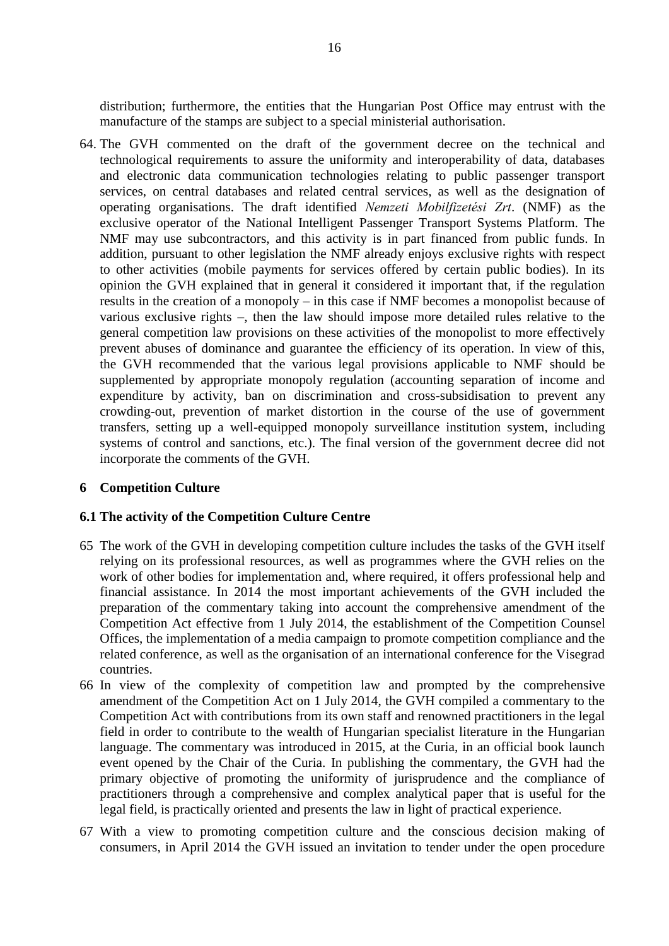distribution; furthermore, the entities that the Hungarian Post Office may entrust with the manufacture of the stamps are subject to a special ministerial authorisation.

64. The GVH commented on the draft of the government decree on the technical and technological requirements to assure the uniformity and interoperability of data, databases and electronic data communication technologies relating to public passenger transport services, on central databases and related central services, as well as the designation of operating organisations. The draft identified *Nemzeti Mobilfizetési Zrt*. (NMF) as the exclusive operator of the National Intelligent Passenger Transport Systems Platform. The NMF may use subcontractors, and this activity is in part financed from public funds. In addition, pursuant to other legislation the NMF already enjoys exclusive rights with respect to other activities (mobile payments for services offered by certain public bodies). In its opinion the GVH explained that in general it considered it important that, if the regulation results in the creation of a monopoly – in this case if NMF becomes a monopolist because of various exclusive rights –, then the law should impose more detailed rules relative to the general competition law provisions on these activities of the monopolist to more effectively prevent abuses of dominance and guarantee the efficiency of its operation. In view of this, the GVH recommended that the various legal provisions applicable to NMF should be supplemented by appropriate monopoly regulation (accounting separation of income and expenditure by activity, ban on discrimination and cross-subsidisation to prevent any crowding-out, prevention of market distortion in the course of the use of government transfers, setting up a well-equipped monopoly surveillance institution system, including systems of control and sanctions, etc.). The final version of the government decree did not incorporate the comments of the GVH.

## <span id="page-15-0"></span>**6 Competition Culture**

#### <span id="page-15-1"></span>**6.1 The activity of the Competition Culture Centre**

- 65 The work of the GVH in developing competition culture includes the tasks of the GVH itself relying on its professional resources, as well as programmes where the GVH relies on the work of other bodies for implementation and, where required, it offers professional help and financial assistance. In 2014 the most important achievements of the GVH included the preparation of the commentary taking into account the comprehensive amendment of the Competition Act effective from 1 July 2014, the establishment of the Competition Counsel Offices, the implementation of a media campaign to promote competition compliance and the related conference, as well as the organisation of an international conference for the Visegrad countries.
- 66 In view of the complexity of competition law and prompted by the comprehensive amendment of the Competition Act on 1 July 2014, the GVH compiled a commentary to the Competition Act with contributions from its own staff and renowned practitioners in the legal field in order to contribute to the wealth of Hungarian specialist literature in the Hungarian language. The commentary was introduced in 2015, at the Curia, in an official book launch event opened by the Chair of the Curia. In publishing the commentary, the GVH had the primary objective of promoting the uniformity of jurisprudence and the compliance of practitioners through a comprehensive and complex analytical paper that is useful for the legal field, is practically oriented and presents the law in light of practical experience.
- 67 With a view to promoting competition culture and the conscious decision making of consumers, in April 2014 the GVH issued an invitation to tender under the open procedure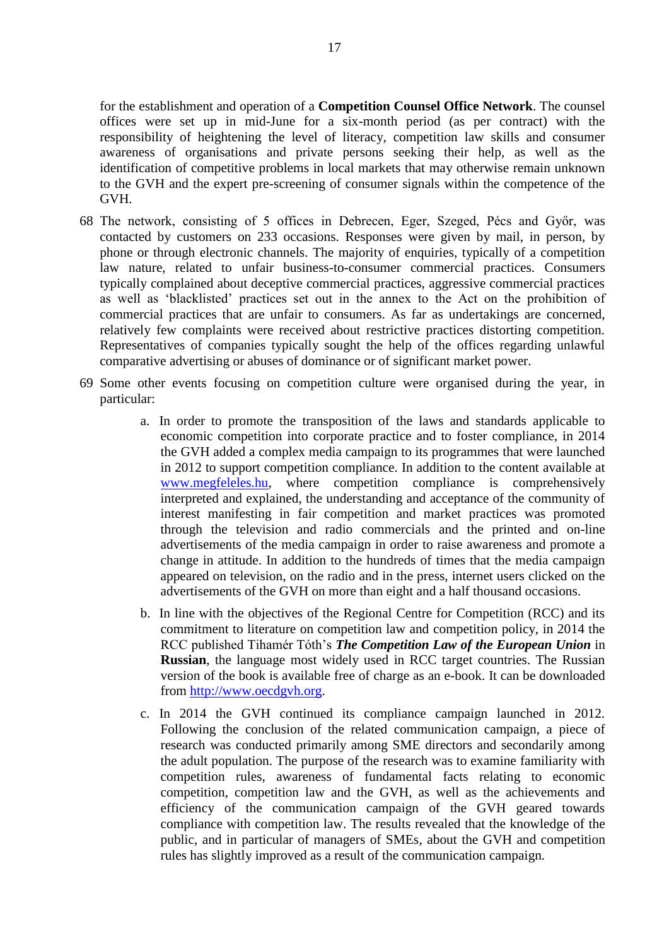for the establishment and operation of a **Competition Counsel Office Network**. The counsel offices were set up in mid-June for a six-month period (as per contract) with the responsibility of heightening the level of literacy, competition law skills and consumer awareness of organisations and private persons seeking their help, as well as the identification of competitive problems in local markets that may otherwise remain unknown to the GVH and the expert pre-screening of consumer signals within the competence of the GVH.

- 68 The network, consisting of 5 offices in Debrecen, Eger, Szeged, Pécs and Győr, was contacted by customers on 233 occasions. Responses were given by mail, in person, by phone or through electronic channels. The majority of enquiries, typically of a competition law nature, related to unfair business-to-consumer commercial practices. Consumers typically complained about deceptive commercial practices, aggressive commercial practices as well as 'blacklisted' practices set out in the annex to the Act on the prohibition of commercial practices that are unfair to consumers. As far as undertakings are concerned, relatively few complaints were received about restrictive practices distorting competition. Representatives of companies typically sought the help of the offices regarding unlawful comparative advertising or abuses of dominance or of significant market power.
- 69 Some other events focusing on competition culture were organised during the year, in particular:
	- a. In order to promote the transposition of the laws and standards applicable to economic competition into corporate practice and to foster compliance, in 2014 the GVH added a complex media campaign to its programmes that were launched in 2012 to support competition compliance. In addition to the content available at [www.megfeleles.hu,](http://www.megfeleles.hu/) where competition compliance is comprehensively interpreted and explained, the understanding and acceptance of the community of interest manifesting in fair competition and market practices was promoted through the television and radio commercials and the printed and on-line advertisements of the media campaign in order to raise awareness and promote a change in attitude. In addition to the hundreds of times that the media campaign appeared on television, on the radio and in the press, internet users clicked on the advertisements of the GVH on more than eight and a half thousand occasions.
	- b. In line with the objectives of the Regional Centre for Competition (RCC) and its commitment to literature on competition law and competition policy, in 2014 the RCC published Tihamér Tóth's *The Competition Law of the European Union* in **Russian**, the language most widely used in RCC target countries. The Russian version of the book is available free of charge as an e-book. It can be downloaded from [http://www.oecdgvh.org.](http://www.oecdgvh.org/)
	- c. In 2014 the GVH continued its compliance campaign launched in 2012. Following the conclusion of the related communication campaign, a piece of research was conducted primarily among SME directors and secondarily among the adult population. The purpose of the research was to examine familiarity with competition rules, awareness of fundamental facts relating to economic competition, competition law and the GVH, as well as the achievements and efficiency of the communication campaign of the GVH geared towards compliance with competition law. The results revealed that the knowledge of the public, and in particular of managers of SMEs, about the GVH and competition rules has slightly improved as a result of the communication campaign.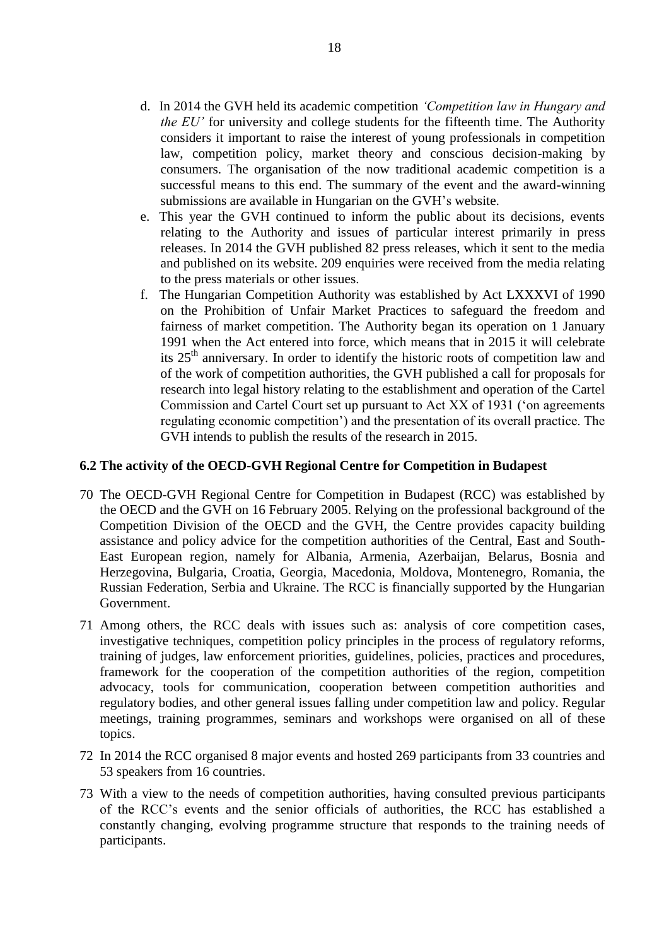- d. In 2014 the GVH held its academic competition *'Competition law in Hungary and the EU'* for university and college students for the fifteenth time. The Authority considers it important to raise the interest of young professionals in competition law, competition policy, market theory and conscious decision-making by consumers. The organisation of the now traditional academic competition is a successful means to this end. The summary of the event and the award-winning submissions are available in Hungarian on the GVH's website.
- e. This year the GVH continued to inform the public about its decisions, events relating to the Authority and issues of particular interest primarily in press releases. In 2014 the GVH published 82 press releases, which it sent to the media and published on its website. 209 enquiries were received from the media relating to the press materials or other issues.
- f. The Hungarian Competition Authority was established by Act LXXXVI of 1990 on the Prohibition of Unfair Market Practices to safeguard the freedom and fairness of market competition. The Authority began its operation on 1 January 1991 when the Act entered into force, which means that in 2015 it will celebrate its  $25<sup>th</sup>$  anniversary. In order to identify the historic roots of competition law and of the work of competition authorities, the GVH published a call for proposals for research into legal history relating to the establishment and operation of the Cartel Commission and Cartel Court set up pursuant to Act XX of 1931 ('on agreements regulating economic competition') and the presentation of its overall practice. The GVH intends to publish the results of the research in 2015.

#### <span id="page-17-0"></span>**6.2 The activity of the OECD-GVH Regional Centre for Competition in Budapest**

- 70 The OECD-GVH Regional Centre for Competition in Budapest (RCC) was established by the OECD and the GVH on 16 February 2005. Relying on the professional background of the Competition Division of the OECD and the GVH, the Centre provides capacity building assistance and policy advice for the competition authorities of the Central, East and South-East European region, namely for Albania, Armenia, Azerbaijan, Belarus, Bosnia and Herzegovina, Bulgaria, Croatia, Georgia, Macedonia, Moldova, Montenegro, Romania, the Russian Federation, Serbia and Ukraine. The RCC is financially supported by the Hungarian Government.
- 71 Among others, the RCC deals with issues such as: analysis of core competition cases, investigative techniques, competition policy principles in the process of regulatory reforms, training of judges, law enforcement priorities, guidelines, policies, practices and procedures, framework for the cooperation of the competition authorities of the region, competition advocacy, tools for communication, cooperation between competition authorities and regulatory bodies, and other general issues falling under competition law and policy. Regular meetings, training programmes, seminars and workshops were organised on all of these topics.
- 72 In 2014 the RCC organised 8 major events and hosted 269 participants from 33 countries and 53 speakers from 16 countries.
- 73 With a view to the needs of competition authorities, having consulted previous participants of the RCC's events and the senior officials of authorities, the RCC has established a constantly changing, evolving programme structure that responds to the training needs of participants.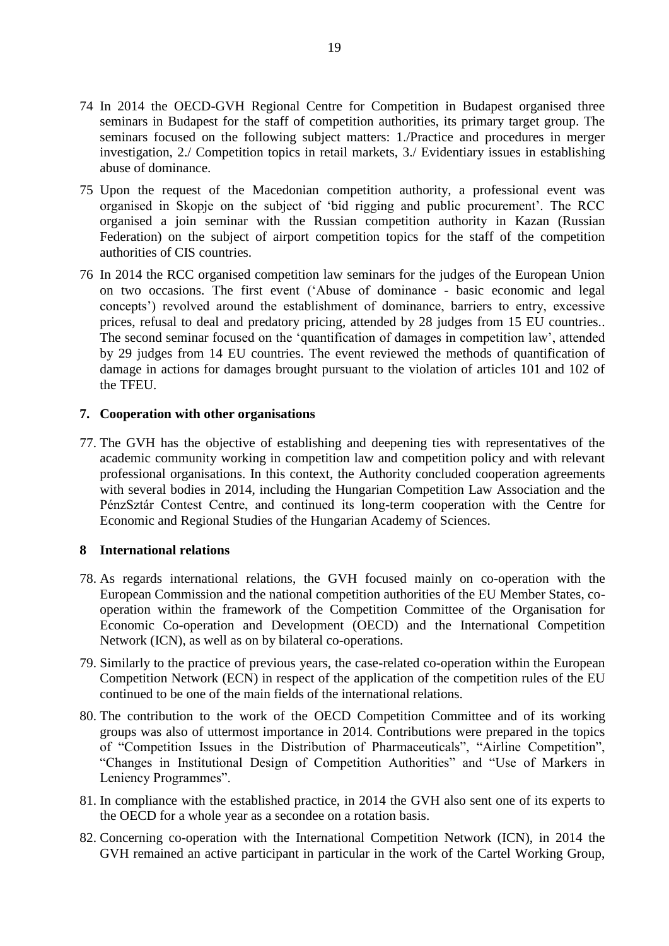- 74 In 2014 the OECD-GVH Regional Centre for Competition in Budapest organised three seminars in Budapest for the staff of competition authorities, its primary target group. The seminars focused on the following subject matters: 1./Practice and procedures in merger investigation, 2./ Competition topics in retail markets, 3./ Evidentiary issues in establishing abuse of dominance.
- 75 Upon the request of the Macedonian competition authority, a professional event was organised in Skopje on the subject of 'bid rigging and public procurement'. The RCC organised a join seminar with the Russian competition authority in Kazan (Russian Federation) on the subject of airport competition topics for the staff of the competition authorities of CIS countries.
- 76 In 2014 the RCC organised competition law seminars for the judges of the European Union on two occasions. The first event ('Abuse of dominance - basic economic and legal concepts') revolved around the establishment of dominance, barriers to entry, excessive prices, refusal to deal and predatory pricing, attended by 28 judges from 15 EU countries.. The second seminar focused on the 'quantification of damages in competition law', attended by 29 judges from 14 EU countries. The event reviewed the methods of quantification of damage in actions for damages brought pursuant to the violation of articles 101 and 102 of the TFEU.

## **7. Cooperation with other organisations**

77. The GVH has the objective of establishing and deepening ties with representatives of the academic community working in competition law and competition policy and with relevant professional organisations. In this context, the Authority concluded cooperation agreements with several bodies in 2014, including the Hungarian Competition Law Association and the PénzSztár Contest Centre, and continued its long-term cooperation with the Centre for Economic and Regional Studies of the Hungarian Academy of Sciences.

# <span id="page-18-0"></span>**8 International relations**

- 78. As regards international relations, the GVH focused mainly on co-operation with the European Commission and the national competition authorities of the EU Member States, cooperation within the framework of the Competition Committee of the Organisation for Economic Co-operation and Development (OECD) and the International Competition Network (ICN), as well as on by bilateral co-operations.
- 79. Similarly to the practice of previous years, the case-related co-operation within the European Competition Network (ECN) in respect of the application of the competition rules of the EU continued to be one of the main fields of the international relations.
- 80. The contribution to the work of the OECD Competition Committee and of its working groups was also of uttermost importance in 2014. Contributions were prepared in the topics of "Competition Issues in the Distribution of Pharmaceuticals", "Airline Competition", "Changes in Institutional Design of Competition Authorities" and "Use of Markers in Leniency Programmes".
- 81. In compliance with the established practice, in 2014 the GVH also sent one of its experts to the OECD for a whole year as a secondee on a rotation basis.
- 82. Concerning co-operation with the International Competition Network (ICN), in 2014 the GVH remained an active participant in particular in the work of the Cartel Working Group,